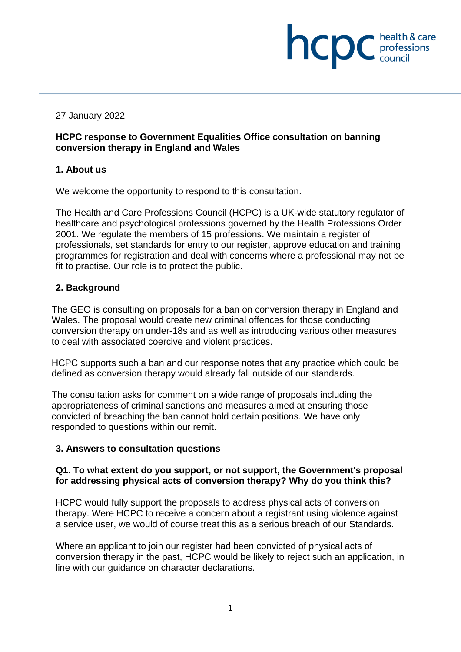# 27 January 2022

## **HCPC response to Government Equalities Office consultation on banning conversion therapy in England and Wales**

health & care

**INCIDE** chealth & care

# **1. About us**

We welcome the opportunity to respond to this consultation.

The Health and Care Professions Council (HCPC) is a UK-wide statutory regulator of healthcare and psychological professions governed by the Health Professions Order 2001. We regulate the members of 15 professions. We maintain a register of professionals, set standards for entry to our register, approve education and training programmes for registration and deal with concerns where a professional may not be fit to practise. Our role is to protect the public.

# **2. Background**

The GEO is consulting on proposals for a ban on conversion therapy in England and Wales. The proposal would create new criminal offences for those conducting conversion therapy on under-18s and as well as introducing various other measures to deal with associated coercive and violent practices.

HCPC supports such a ban and our response notes that any practice which could be defined as conversion therapy would already fall outside of our standards.

The consultation asks for comment on a wide range of proposals including the appropriateness of criminal sanctions and measures aimed at ensuring those convicted of breaching the ban cannot hold certain positions. We have only responded to questions within our remit.

# **3. Answers to consultation questions**

## **Q1. To what extent do you support, or not support, the Government's proposal for addressing physical acts of conversion therapy? Why do you think this?**

HCPC would fully support the proposals to address physical acts of conversion therapy. Were HCPC to receive a concern about a registrant using violence against a service user, we would of course treat this as a serious breach of our Standards.

Where an applicant to join our register had been convicted of physical acts of conversion therapy in the past, HCPC would be likely to reject such an application, in line with our guidance on character declarations.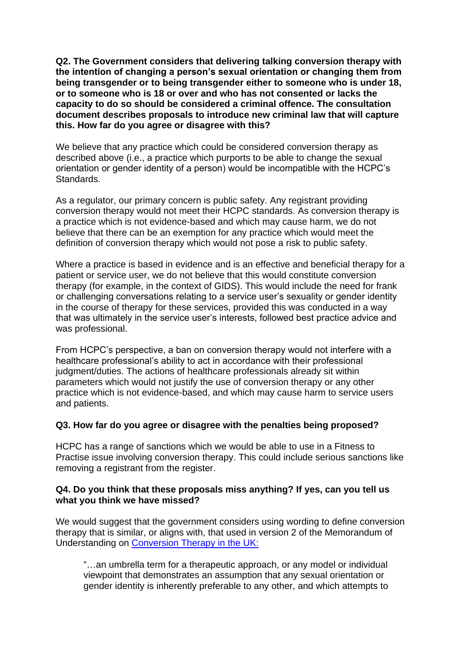**Q2. The Government considers that delivering talking conversion therapy with the intention of changing a person's sexual orientation or changing them from being transgender or to being transgender either to someone who is under 18, or to someone who is 18 or over and who has not consented or lacks the capacity to do so should be considered a criminal offence. The consultation document describes proposals to introduce new criminal law that will capture this. How far do you agree or disagree with this?** 

We believe that any practice which could be considered conversion therapy as described above (i.e., a practice which purports to be able to change the sexual orientation or gender identity of a person) would be incompatible with the HCPC's Standards.

As a regulator, our primary concern is public safety. Any registrant providing conversion therapy would not meet their HCPC standards. As conversion therapy is a practice which is not evidence-based and which may cause harm, we do not believe that there can be an exemption for any practice which would meet the definition of conversion therapy which would not pose a risk to public safety.

Where a practice is based in evidence and is an effective and beneficial therapy for a patient or service user, we do not believe that this would constitute conversion therapy (for example, in the context of GIDS). This would include the need for frank or challenging conversations relating to a service user's sexuality or gender identity in the course of therapy for these services, provided this was conducted in a way that was ultimately in the service user's interests, followed best practice advice and was professional.

From HCPC's perspective, a ban on conversion therapy would not interfere with a healthcare professional's ability to act in accordance with their professional judgment/duties. The actions of healthcare professionals already sit within parameters which would not justify the use of conversion therapy or any other practice which is not evidence-based, and which may cause harm to service users and patients.

## **Q3. How far do you agree or disagree with the penalties being proposed?**

HCPC has a range of sanctions which we would be able to use in a Fitness to Practise issue involving conversion therapy. This could include serious sanctions like removing a registrant from the register.

## **Q4. Do you think that these proposals miss anything? If yes, can you tell us what you think we have missed?**

We would suggest that the government considers using wording to define conversion therapy that is similar, or aligns with, that used in version 2 of the Memorandum of Understanding on [Conversion Therapy in the UK:](https://www.bacp.co.uk/media/13265/memorandum-of-understanding-on-conversion-therapy-in-the-uk-september-2021.pdf)

"…an umbrella term for a therapeutic approach, or any model or individual viewpoint that demonstrates an assumption that any sexual orientation or gender identity is inherently preferable to any other, and which attempts to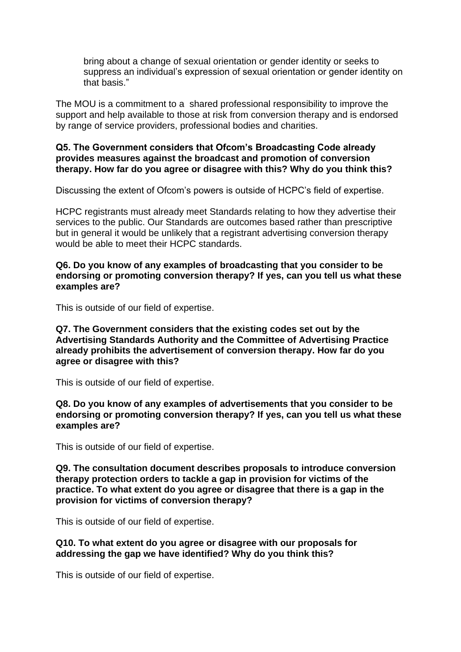bring about a change of sexual orientation or gender identity or seeks to suppress an individual's expression of sexual orientation or gender identity on that basis."

The MOU is a commitment to a shared professional responsibility to improve the support and help available to those at risk from conversion therapy and is endorsed by range of service providers, professional bodies and charities.

#### **Q5. The Government considers that Ofcom's Broadcasting Code already provides measures against the broadcast and promotion of conversion therapy. How far do you agree or disagree with this? Why do you think this?**

Discussing the extent of Ofcom's powers is outside of HCPC's field of expertise.

HCPC registrants must already meet Standards relating to how they advertise their services to the public. Our Standards are outcomes based rather than prescriptive but in general it would be unlikely that a registrant advertising conversion therapy would be able to meet their HCPC standards.

#### **Q6. Do you know of any examples of broadcasting that you consider to be endorsing or promoting conversion therapy? If yes, can you tell us what these examples are?**

This is outside of our field of expertise.

**Q7. The Government considers that the existing codes set out by the Advertising Standards Authority and the Committee of Advertising Practice already prohibits the advertisement of conversion therapy. How far do you agree or disagree with this?**

This is outside of our field of expertise.

**Q8. Do you know of any examples of advertisements that you consider to be endorsing or promoting conversion therapy? If yes, can you tell us what these examples are?** 

This is outside of our field of expertise.

**Q9. The consultation document describes proposals to introduce conversion therapy protection orders to tackle a gap in provision for victims of the practice. To what extent do you agree or disagree that there is a gap in the provision for victims of conversion therapy?** 

This is outside of our field of expertise.

**Q10. To what extent do you agree or disagree with our proposals for addressing the gap we have identified? Why do you think this?** 

This is outside of our field of expertise.